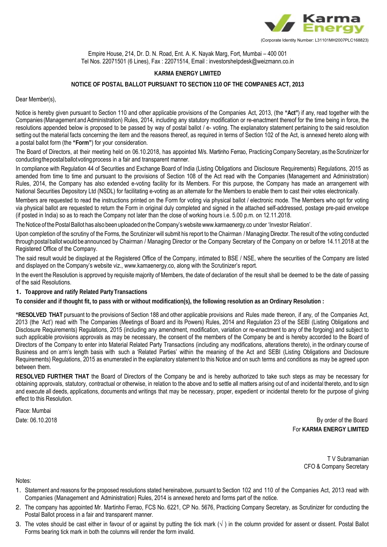

Empire House, 214, Dr. D. N. Road, Ent. A. K. Nayak Marg, Fort, Mumbai – 400 001 Tel Nos. 22071501 (6 Lines), Fax : 22071514, Email : investorshelpdesk@weizmann.co.in

## **KARMA ENERGY LIMITED**

## **NOTICE OF POSTAL BALLOT PURSUANT TO SECTION 110 OF THE COMPANIES ACT, 2013**

Dear Member(s),

Notice is hereby given pursuant to Section 110 and other applicable provisions of the Companies Act, 2013, (the **"Act"**) if any, read together with the Companies (Management and Administration) Rules, 2014, including any statutory modification or re-enactment thereof for the time being in force, the resolutions appended below is proposed to be passed by way of postal ballot / e- voting. The explanatory statement pertaining to the said resolution setting out the material facts concerning the item and the reasons thereof, as required in terms of Section 102 of the Act, is annexed hereto along with a postal ballot form (the **"Form"**) for your consideration.

The Board of Directors, at their meeting held on 06.10.2018, has appointed M/s. Martinho Ferrao, Practicing Company Secretary, as the Scrutinizer for conducting the postal ballot voting process in a fair and transparent manner.

In compliance with Regulation 44 of Securities and Exchange Board of India (Listing Obligations and Disclosure Requirements) Regulations, 2015 as amended from time to time and pursuant to the provisions of Section 108 of the Act read with the Companies (Management and Administration) Rules, 2014, the Company has also extended e-voting facility for its Members. For this purpose, the Company has made an arrangement with National Securities Depository Ltd (NSDL) for facilitating e-voting as an alternate for the Members to enable them to cast their votes electronically.

Members are requested to read the instructions printed on the Form for voting via physical ballot / electronic mode. The Members who opt for voting via physical ballot are requested to return the Form in original duly completed and signed in the attached self-addressed, postage pre-paid envelope (if posted in India) so as to reach the Company not later than the close of working hours i.e. 5.00 p.m. on 12.11.2018.

The Notice of the Postal Ballot has also been uploaded on the Company's website www.karmaenergy.co under 'Investor Relation'.

Upon completion of the scrutiny of the Forms, the Scrutinizer will submit his report to the Chairman / Managing Director. The result of the voting conducted through postal ballot would be announced by Chairman / Managing Director or the Company Secretary of the Company on or before 14.11.2018 at the Registered Office of the Company.

The said result would be displayed at the Registered Office of the Company, intimated to BSE / NSE, where the securities of the Company are listed and displayed on the Company's website viz., www.kamaenergy.co, along with the Scrutinizer's report.

In the event the Resolution is approved by requisite majority of Members, the date of declaration of the result shall be deemed to be the date of passing of the said Resolutions.

**1. To approve and ratify Related Party Transactions** 

**To consider and if thought fit, to pass with or without modification(s), the following resolution as an Ordinary Resolution :** 

**"RESOLVED THAT** pursuant to the provisions of Section 188 and other applicable provisions and Rules made thereon, if any, of the Companies Act, 2013 (the 'Act') read with The Companies (Meetings of Board and its Powers) Rules, 2014 and Regulation 23 of the SEBI (Listing Obligations and Disclosure Requirements) Regulations, 2015 (including any amendment, modification, variation or re-enactment to any of the forgoing) and subject to such applicable provisions approvals as may be necessary, the consent of the members of the Company be and is hereby accorded to the Board of Directors of the Company to enter into Material Related Party Transactions (including any modifications, alterations thereto), in the ordinary course of Business and on arm's length basis with such a 'Related Parties' within the meaning of the Act and SEBI (Listing Obligations and Disclosure Requirements) Regulations, 2015 as enumerated in the explanatory statement to this Notice and on such terms and conditions as may be agreed upon between them.

**RESOLVED FURTHER THAT** the Board of Directors of the Company be and is hereby authorized to take such steps as may be necessary for obtaining approvals, statutory, contractual or otherwise, in relation to the above and to settle all matters arising out of and incidental thereto, and to sign and execute all deeds, applications, documents and writings that may be necessary, proper, expedient or incidental thereto for the purpose of giving effect to this Resolution.

Place: Mumbai

Date: 06.10.2018 By order of the Board For **KARMA ENERGY LIMITED**

> T V Subramanian CFO & Company Secretary

Notes:

- 1. Statement and reasons for the proposed resolutions stated hereinabove, pursuant to Section 102 and 110 of the Companies Act, 2013 read with Companies (Management and Administration) Rules, 2014 is annexed hereto and forms part of the notice.
- 2. The company has appointed Mr. Martinho Ferrao, FCS No. 6221, CP No. 5676, Practicing Company Secretary, as Scrutinizer for conducting the Postal Ballot process in a fair and transparent manner.
- 3. The votes should be cast either in favour of or against by putting the tick mark  $(\sqrt{})$  in the column provided for assent or dissent. Postal Ballot Forms bearing tick mark in both the columns will render the form invalid.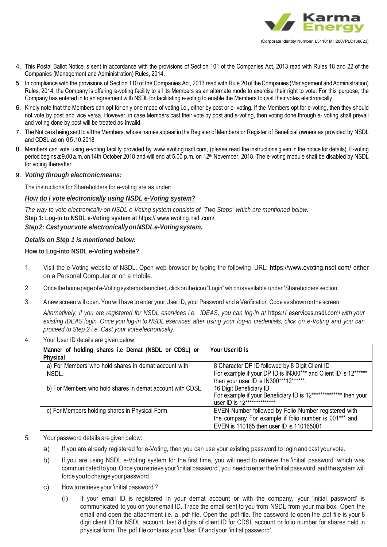

- 4. This Postal Ballot Notice is sent in accordance with the provisions of Section 101 of the Companies Act, 2013 read with Rules 18 and 22 of the Companies (Management and Administration) Rules, 2014.
- 5. In compliance with the provisions of Section 110 of the Companies Act, 2013 read with Rule 20 of the Companies (Management and Administration) Rules, 2014, the Company is offering e-voting facility to all its Members as an alternate mode to exercise their right to vote. For this purpose, the Company has entered in to an agreement with NSDL for facilitating e-voting to enable the Members to cast their votes electronically.
- 6. Kindly note that the Members can opt for only one mode of voting i.e., either by post or e- voting. If the Members opt for e-voting, then they should not vote by post and vice versa. However, in case Members cast their vote by post and e-voting, then voting done through e- voting shall prevail and voting done by post will be treated as invalid.
- 7. The Notice is being sent to all the Members, whose names appear in the Register of Members or Register of Beneficial owners as provided by NSDL and CDSL as on 05.10.2018
- 8. Members can vote using e-voting facility provided by www.evoting.nsdl.com, (please read the instructions given in the notice for details). E-voting period begins at 9.00 a.m. on 14th October 2018 and will end at 5.00 p.m. on 12th November, 2018. The e-voting module shall be disabled by NSDL for voting thereafter.
- 9. *Voting through electronic means:*

The instructions for Shareholders for e-voting are as under:

# *How do I vote electronically using NSDL e-Voting system?*

*The way to vote electronically on NSDL e-Voting system consists of "Two Steps" which are mentioned below:* **Step 1: Log-in to NSDL e-Voting system at** https:// www.evoting.nsdl.com/ *Step 2: Cast your vote electronically on NSDL e-Voting system.* 

# *Details on Step 1 is mentioned below:*

**How to Log-into NSDL e-Voting website?** 

- 1. Visit the e-Voting website of NSDL. Open web browser by typing the following URL: https://www.evoting.nsdl.com/ either on a Personal Computer or on a mobile.
- 2. Once the home page of e-Voting system is launched, click on the icon "Login" which is available under 'Shareholders' section.
- 3. A new screen will open. You will have to enter your User ID, your Password and a Verification Code as shown on the screen.

*Alternatively, if you are registered for NSDL eservices i.e. IDEAS, you can log-in at* https:/ / eservices.nsdl.com/ *with your existing IDEAS login. Once you log-in to NSDL eservices after using your log-in credentials, click on e-Voting and you can proceed to Step 2 i.e. Cast your vote electronically.*

| 4. | Your User ID details are given below:                            |                                                                                                                                                              |  |  |
|----|------------------------------------------------------------------|--------------------------------------------------------------------------------------------------------------------------------------------------------------|--|--|
|    | Manner of holding shares i.e Demat (NSDL or CDSL) or<br>Physical | Your User ID is                                                                                                                                              |  |  |
|    | a) For Members who hold shares in demat account with<br>NSDL.    | 8 Character DP ID followed by 8 Digit Client ID<br>For example if your DP ID is IN300*** and Client ID is 12******<br>then your user ID is IN300***12******. |  |  |
|    | b) For Members who hold shares in demat account with CDSL.       | 16 Digit Beneficiary ID<br>For example if your Beneficiary ID is 12*************** then your<br>user ID is 12**************                                  |  |  |
|    | c) For Members holding shares in Physical Form.                  | EVEN Number followed by Folio Number registered with<br>the company For example if folio number is 001*** and<br>EVEN is 110165 then user ID is 110165001    |  |  |

- 5. Your password details are given below:
	- a) If you are already registered for e-Voting, then you can use your existing password to login and cast your vote.
	- b) If you are using NSDL e-Voting system for the first time, you will need to retrieve the 'initial password' which was communicated to you. Once you retrieve your 'initial password', you need to enter the 'initial password' and the system will force you to change your password.
	- c) How to retrieve your 'initial password'?
		- (i) If your email ID is registered in your demat account or with the company, your 'initial password' is communicated to you on your email ID. Trace the email sent to you from NSDL from your mailbox. Open the email and open the attachment i.e. a .pdf file. Open the .pdf file. The password to open the .pdf file is your 8 digit client ID for NSDL account, last 8 digits of client ID for CDSL account or folio number for shares held in physical form. The .pdf file contains your 'User ID' and your 'initial password'.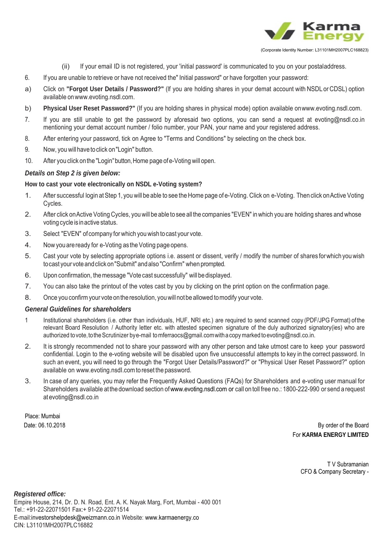

(Corporate Identity Number: L31101MH2007PLC168823)

- (ii) If your email ID is not registered, your 'initial password' is communicated to you on your postal address.
- 6. If you are unable to retrieve or have not received the" Initial password" or have forgotten your password:
- a) Click on **"Forgot User Details / Password?"** (lf you are holding shares in your demat account with NSDL or CDSL) option available on www.evoting.nsdl.com.
- b) **Physical User Reset Password?"** (If you are holding shares in physical mode) option available on www.evoting.nsdl.com.
- 7. If you are still unable to get the password by aforesaid two options, you can send a request at evoting@nsdl.co.in mentioning your demat account number / folio number, your PAN, your name and your registered address.
- 8. After entering your password, tick on Agree to "Terms and Conditions" by selecting on the check box.
- 9. Now, you will have to click on "Login" button.
- 10. After you click on the "Login" button, Home page of e-Voting will open.

## *Details on Step 2 is given below:*

### **How to cast your vote electronically on NSDL e-Voting system?**

- 1. After successful login at Step 1, you will be able to see the Home page of e-Voting. Click on e-Voting. Then click on Active Voting Cycles.
- 2. After click on Active Voting Cycles, you will be able to see all the companies "EVEN" in which you are holding shares and whose voting cycle is in active status.
- 3. Select "EVEN" of company for which you wish to cast your vote.
- 4. Now you are ready for e-Voting as the Voting page opens.
- 5. Cast your vote by selecting appropriate options i.e. assent or dissent, verify / modify the number of shares for which you wish to cast your vote and click on "Submit" and also "Confirm" when prompted.
- 6. Upon confirmation, the message "Vote cast successfully" will be displayed.
- 7. You can also take the printout of the votes cast by you by clicking on the print option on the confirmation page.
- 8. Once you confirm your vote on the resolution, you will not be allowed to modify your vote.

## *General Guidelines for shareholders*

- 1 Institutional shareholders (i.e. other than individuals, HUF, NRI etc.) are required to send scanned copy (PDF/JPG Format) of the relevant Board Resolution / Authority letter etc. with attested specimen signature of the duly authorized signatory(ies) who are authorized to vote, to the Scrutinizer by e-mail to mferraocs@gmail.com with a copy marked to evoting@nsdl.co.in.
- 2. It is strongly recommended not to share your password with any other person and take utmost care to keep your password confidential. Login to the e-voting website will be disabled upon five unsuccessful attempts to key in the correct password. In such an event, you will need to go through the "Forgot User Details/Password?" or "Physical User Reset Password?" option available on www.evoting.nsdI.com to reset the password.
- 3. In case of any queries, you may refer the Frequently Asked Questions (FAQs) for Shareholders and e-voting user manual for Shareholders available at the download section of www.evoting.nsdl.com or call on toll free no.: 1800-222-990 or send a request at evoting@nsdl.co.in

Place: Mumbai

 Date: 06.10.2018 By order of the Board For **KARMA ENERGY LIMITED**

> T V Subramanian CFO & Company Secretary -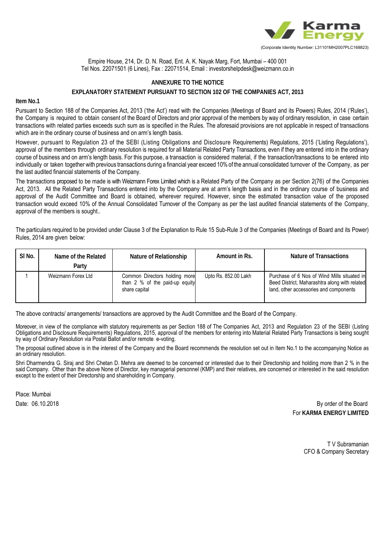

Empire House, 214, Dr. D. N. Road, Ent. A. K. Nayak Marg, Fort, Mumbai – 400 001 Tel Nos. 22071501 (6 Lines), Fax : 22071514, Email : investorshelpdesk@weizmann.co.in

# **ANNEXURE TO THE NOTICE EXPLANATORY STATEMENT PURSUANT TO SECTION 102 OF THE COMPANIES ACT, 2013**

#### **Item No.1**

Pursuant to Section 188 of the Companies Act, 2013 ('the Act') read with the Companies (Meetings of Board and its Powers) Rules, 2014 ('Rules'), the Company is required to obtain consent of the Board of Directors and prior approval of the members by way of ordinary resolution, in case certain transactions with related parties exceeds such sum as is specified in the Rules. The aforesaid provisions are not applicable in respect of transactions which are in the ordinary course of business and on arm's length basis.

However, pursuant to Regulation 23 of the SEBI (Listing Obligations and Disclosure Requirements) Regulations, 2015 ('Listing Regulations'), approval of the members through ordinary resolution is required for all Material Related Party Transactions, even if they are entered into in the ordinary course of business and on arm's length basis. For this purpose, a transaction is considered material, if the transaction/transactions to be entered into individually or taken together with previous transactions during a financial year exceed 10% of the annual consolidated turnover of the Company, as per the last audited financial statements of the Company.

The transactions proposed to be made is with Weizmann Forex Limited which is a Related Party of the Company as per Section 2(76) of the Companies Act, 2013. All the Related Party Transactions entered into by the Company are at arm's length basis and in the ordinary course of business and approval of the Audit Committee and Board is obtained, wherever required. However, since the estimated transaction value of the proposed transaction would exceed 10% of the Annual Consolidated Turnover of the Company as per the last audited financial statements of the Company, approval of the members is sought..

The particulars required to be provided under Clause 3 of the Explanation to Rule 15 Sub-Rule 3 of the Companies (Meetings of Board and its Power) Rules, 2014 are given below:

| SI <sub>No.</sub> | Name of the Related<br>Party | Nature of Relationship                                                           | Amount in Rs.        | Nature of Transactions                                                                                                                 |
|-------------------|------------------------------|----------------------------------------------------------------------------------|----------------------|----------------------------------------------------------------------------------------------------------------------------------------|
|                   | Weizmann Forex Ltd           | Common Directors holding more<br>than 2 % of the paid-up equity<br>share capital | Upto Rs. 852.00 Lakh | Purchase of 6 Nos of Wind Mills situated in<br>Beed District, Maharashtra along with related<br>land, other accessories and components |

The above contracts/ arrangements/ transactions are approved by the Audit Committee and the Board of the Company.

Moreover, in view of the compliance with statutory requirements as per Section 188 of The Companies Act, 2013 and Regulation 23 of the SEBI (Listing Obligations and Disclosure Requirements) Regulations, 2015, approval of the members for entering into Material Related Party Transactions is being sought by way of Ordinary Resolution via Postal Ballot and/or remote e-voting.

The proposal outlined above is in the interest of the Company and the Board recommends the resolution set out in Item No.1 to the accompanying Notice as an ordinary resolution.

Shri Dharmendra G. Siraj and Shri Chetan D. Mehra are deemed to be concerned or interested due to their Directorship and holding more than 2 % in the said Company. Other than the above None of Director, key managerial personnel (KMP) and their relatives, are concerned or interested in the said resolution except to the extent of their Directorship and shareholding in Company.

Place: Mumbai

Date: 06.10.2018 By order of the Board For **KARMA ENERGY LIMITED** 

> T V Subramanian CFO & Company Secretary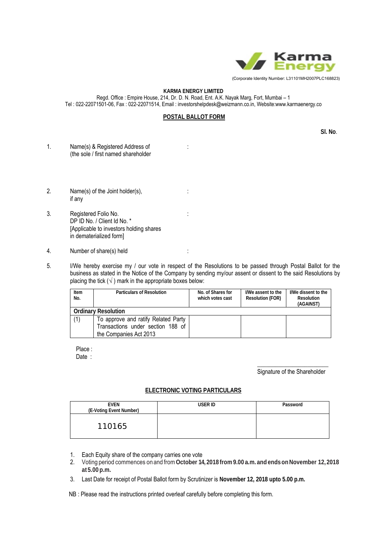

#### **KARMA ENERGY LIMITED**

Regd. Office : Empire House, 214, Dr. D. N. Road, Ent. A.K. Nayak Marg, Fort, Mumbai – 1 Tel : 022-22071501-06, Fax : 022-22071514, Email : investorshelpdesk@weizmann.co.in, Website:www.karmaenergy.co

#### **POSTAL BALLOT FORM**

 **Sl. No**.

- 1. Name(s) & Registered Address of : (the sole / first named shareholder
- 2. Name(s) of the Joint holder(s),  $\cdot$  : if any
- 3. Registered Folio No. : DP ID No. / Client Id No. \* [Applicable to investors holding shares in dematerialized form]
- 4. Number of share(s) held :
- 5. I/We hereby exercise my / our vote in respect of the Resolutions to be passed through Postal Ballot for the business as stated in the Notice of the Company by sending my/our assent or dissent to the said Resolutions by placing the tick  $(\sqrt{})$  mark in the appropriate boxes below:

| Item<br>No.                | <b>Particulars of Resolution</b>    | No. of Shares for<br>which votes cast | I/We assent to the<br><b>Resolution (FOR)</b> | I/We dissent to the<br>Resolution<br>(AGAINST) |  |
|----------------------------|-------------------------------------|---------------------------------------|-----------------------------------------------|------------------------------------------------|--|
| <b>Ordinary Resolution</b> |                                     |                                       |                                               |                                                |  |
| (1)                        | To approve and ratify Related Party |                                       |                                               |                                                |  |
|                            | Transactions under section 188 of   |                                       |                                               |                                                |  |
|                            | the Companies Act 2013              |                                       |                                               |                                                |  |

Place :

Date :

\_\_\_\_\_\_\_\_\_\_\_\_\_\_\_\_\_\_\_\_\_\_\_\_ Signature of the Shareholder

#### **ELECTRONIC VOTING PARTICULARS**

| <b>EVEN</b><br>(E-Voting Event Number) | USER ID | Password |
|----------------------------------------|---------|----------|
| 110165                                 |         |          |

- 1. Each Equity share of the company carries one vote
- 2. Voting period commences on and from **October 14, 2018 from 9.00 a.m. and ends on November 12, 2018 at 5.00 p.m.**
- 3. Last Date for receipt of Postal Ballot form by Scrutinizer is **November 12, 2018 upto 5.00 p.m.**
- NB : Please read the instructions printed overleaf carefully before completing this form.